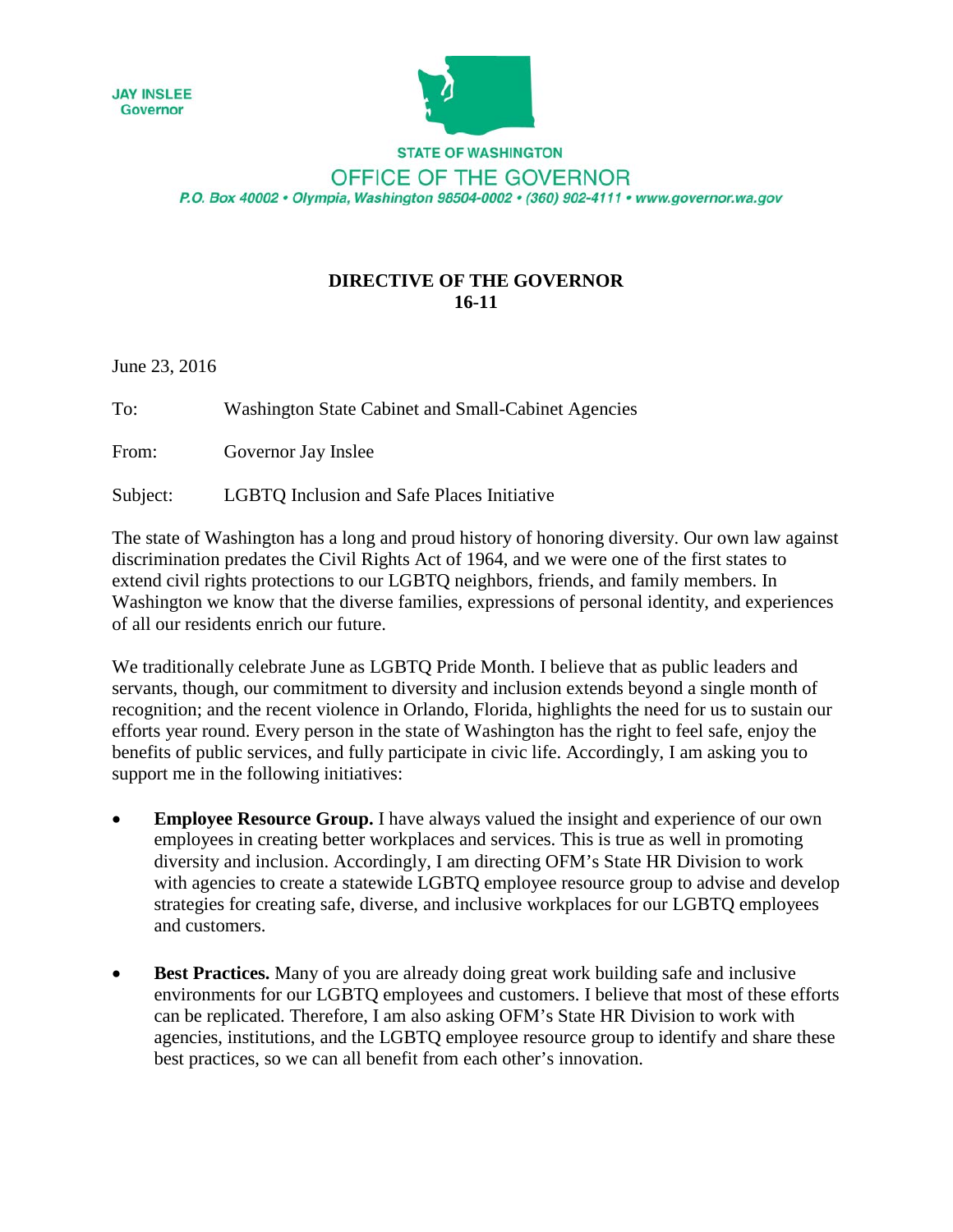



**STATE OF WASHINGTON** OFFICE OF THE GOVERNOR P.O. Box 40002 · Olympia, Washington 98504-0002 · (360) 902-4111 · www.governor.wa.gov

## **DIRECTIVE OF THE GOVERNOR 16-11**

June 23, 2016

To: Washington State Cabinet and Small-Cabinet Agencies

From: Governor Jay Inslee

Subject: LGBTQ Inclusion and Safe Places Initiative

The state of Washington has a long and proud history of honoring diversity. Our own law against discrimination predates the Civil Rights Act of 1964, and we were one of the first states to extend civil rights protections to our LGBTQ neighbors, friends, and family members. In Washington we know that the diverse families, expressions of personal identity, and experiences of all our residents enrich our future.

We traditionally celebrate June as LGBTQ Pride Month. I believe that as public leaders and servants, though, our commitment to diversity and inclusion extends beyond a single month of recognition; and the recent violence in Orlando, Florida, highlights the need for us to sustain our efforts year round. Every person in the state of Washington has the right to feel safe, enjoy the benefits of public services, and fully participate in civic life. Accordingly, I am asking you to support me in the following initiatives:

- **Employee Resource Group.** I have always valued the insight and experience of our own employees in creating better workplaces and services. This is true as well in promoting diversity and inclusion. Accordingly, I am directing OFM's State HR Division to work with agencies to create a statewide LGBTQ employee resource group to advise and develop strategies for creating safe, diverse, and inclusive workplaces for our LGBTQ employees and customers.
- **Best Practices.** Many of you are already doing great work building safe and inclusive environments for our LGBTQ employees and customers. I believe that most of these efforts can be replicated. Therefore, I am also asking OFM's State HR Division to work with agencies, institutions, and the LGBTQ employee resource group to identify and share these best practices, so we can all benefit from each other's innovation.